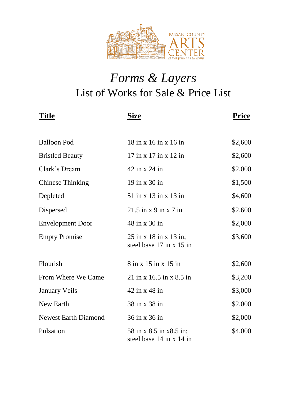

## *Forms & Layers* List of Works for Sale & Price List

| <b>Title</b>                | <b>Size</b>                                          | Price   |
|-----------------------------|------------------------------------------------------|---------|
| <b>Balloon Pod</b>          | $18$ in x $16$ in x $16$ in                          | \$2,600 |
| <b>Bristled Beauty</b>      | $17$ in x $17$ in x $12$ in                          | \$2,600 |
| Clark's Dream               | $42$ in x 24 in                                      | \$2,000 |
| <b>Chinese Thinking</b>     | 19 in x 30 in                                        | \$1,500 |
| Depleted                    | $51$ in x 13 in x 13 in                              | \$4,600 |
| Dispersed                   | $21.5$ in x 9 in x 7 in                              | \$2,600 |
| <b>Envelopment Door</b>     | 48 in x 30 in                                        | \$2,000 |
| <b>Empty Promise</b>        | $25$ in x 18 in x 13 in;<br>steel base 17 in x 15 in | \$3,600 |
| Flourish                    | 8 in x 15 in x 15 in                                 | \$2,600 |
| From Where We Came          | $21$ in x 16.5 in x 8.5 in                           | \$3,200 |
| <b>January Veils</b>        | $42$ in x 48 in                                      | \$3,000 |
| New Earth                   | 38 in x 38 in                                        | \$2,000 |
| <b>Newest Earth Diamond</b> | 36 in x 36 in                                        | \$2,000 |
| Pulsation                   | 58 in x 8.5 in x 8.5 in;<br>steel base 14 in x 14 in | \$4,000 |